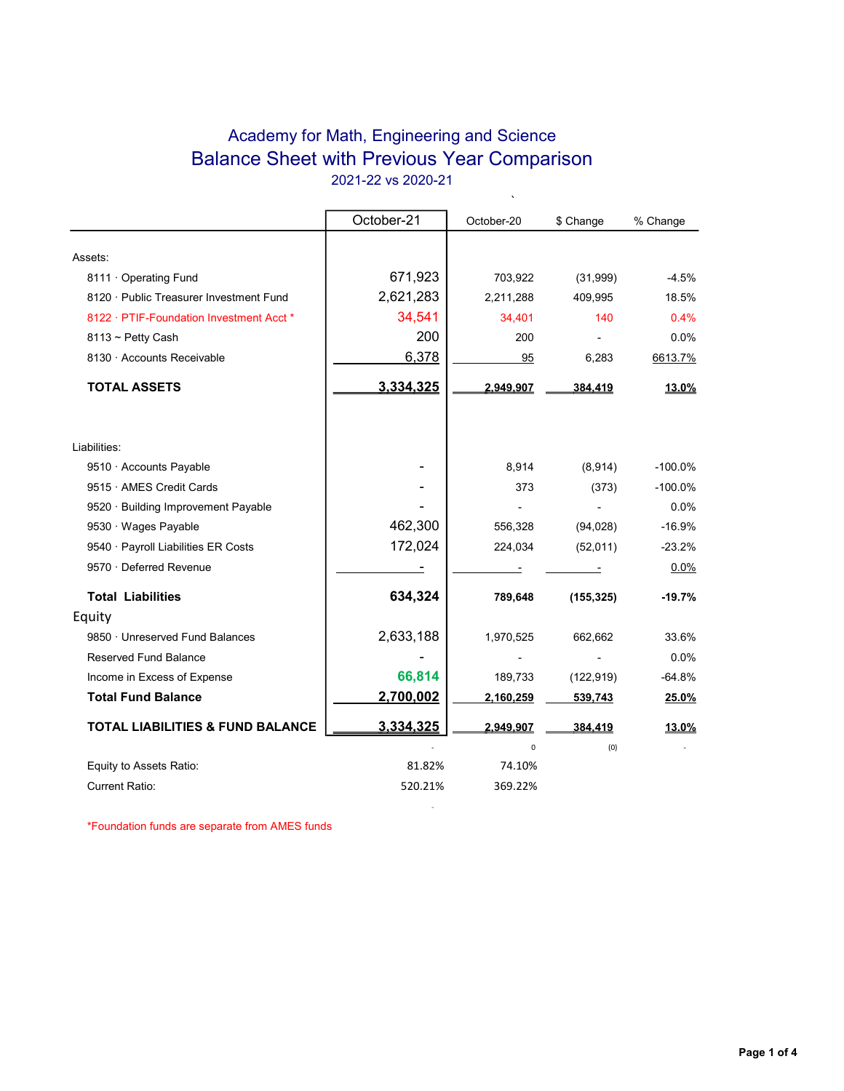## Academy for Math, Engineering and Science Balance Sheet with Previous Year Comparison 2021-22 vs 2020-21

 $\ddot{\phantom{0}}$ 

|                                             | October-21 | October-20 | \$ Change  | % Change     |
|---------------------------------------------|------------|------------|------------|--------------|
|                                             |            |            |            |              |
| Assets:                                     |            |            |            |              |
| 8111 Operating Fund                         | 671,923    | 703,922    | (31,999)   | $-4.5%$      |
| 8120 · Public Treasurer Investment Fund     | 2,621,283  | 2,211,288  | 409,995    | 18.5%        |
| 8122 · PTIF-Foundation Investment Acct *    | 34,541     | 34,401     | 140        | 0.4%         |
| $8113 \sim$ Petty Cash                      | 200        | 200        |            | 0.0%         |
| 8130 · Accounts Receivable                  | 6,378      | 95         | 6,283      | 6613.7%      |
| <b>TOTAL ASSETS</b>                         | 3,334,325  | 2.949.907  | 384,419    | 13.0%        |
| Liabilities:                                |            |            |            |              |
| 9510 · Accounts Payable                     |            | 8,914      | (8,914)    | $-100.0%$    |
| 9515 · AMES Credit Cards                    |            | 373        | (373)      | $-100.0%$    |
| 9520 · Building Improvement Payable         |            |            |            | 0.0%         |
| 9530 · Wages Payable                        | 462,300    | 556,328    | (94, 028)  | $-16.9%$     |
| 9540 · Payroll Liabilities ER Costs         | 172,024    | 224,034    | (52,011)   | $-23.2%$     |
| 9570 · Deferred Revenue                     |            |            |            | 0.0%         |
| <b>Total Liabilities</b>                    | 634,324    | 789,648    | (155, 325) | $-19.7%$     |
| Equity                                      |            |            |            |              |
| 9850 · Unreserved Fund Balances             | 2,633,188  | 1,970,525  | 662,662    | 33.6%        |
| <b>Reserved Fund Balance</b>                |            |            |            | 0.0%         |
| Income in Excess of Expense                 | 66,814     | 189,733    | (122, 919) | $-64.8%$     |
| <b>Total Fund Balance</b>                   | 2,700,002  | 2,160,259  | 539,743    | 25.0%        |
| <b>TOTAL LIABILITIES &amp; FUND BALANCE</b> | 3,334,325  | 2,949,907  | 384,419    | <u>13.0%</u> |
|                                             |            | 0          | (0)        |              |
| Equity to Assets Ratio:                     | 81.82%     | 74.10%     |            |              |
| Current Ratio:                              | 520.21%    | 369.22%    |            |              |

**- All and State State** 

\*Foundation funds are separate from AMES funds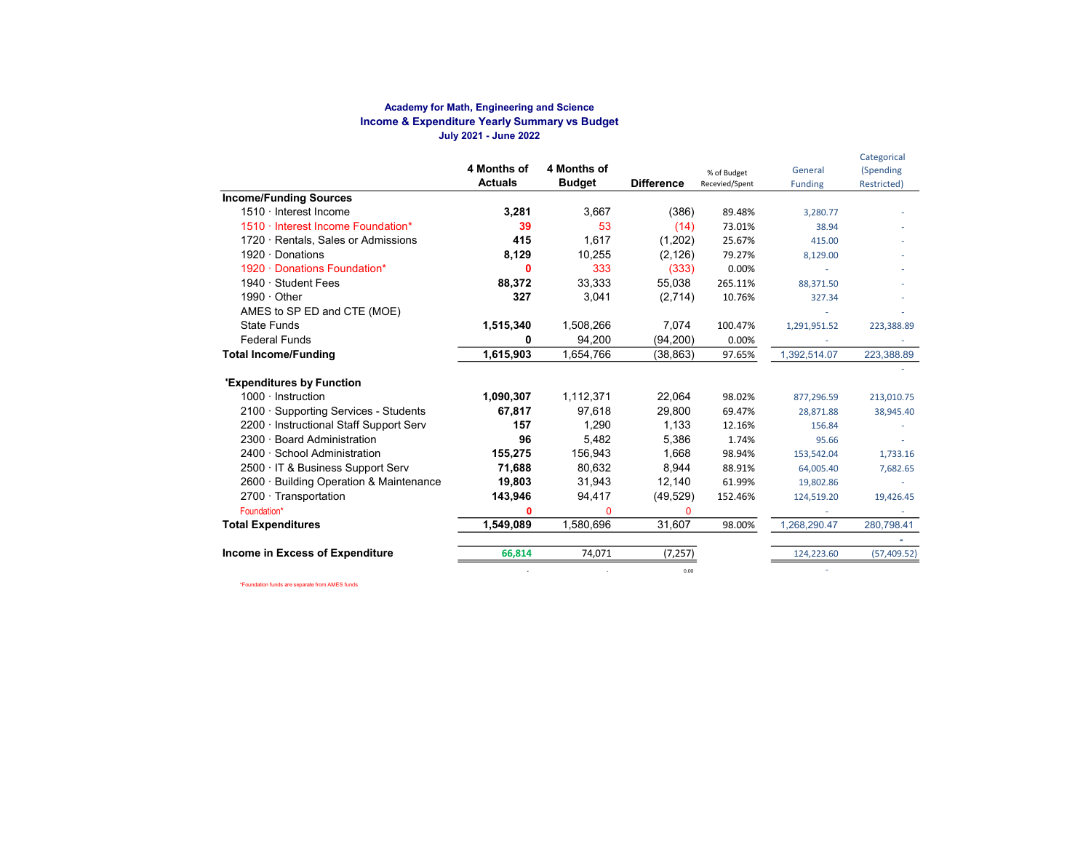#### Academy for Math, Engineering and Science Income & Expenditure Yearly Summary vs Budget July 2021 - June 2022

|                                                         | 4 Months of<br><b>Actuals</b> | 4 Months of<br><b>Budget</b> | <b>Difference</b> | % of Budget<br>Recevied/Spent | General<br><b>Funding</b> | Categorical<br>(Spending<br>Restricted) |
|---------------------------------------------------------|-------------------------------|------------------------------|-------------------|-------------------------------|---------------------------|-----------------------------------------|
| <b>Income/Funding Sources</b>                           |                               |                              |                   |                               |                           |                                         |
| 1510 · Interest Income                                  | 3,281                         | 3,667                        | (386)             | 89.48%                        | 3,280.77                  |                                         |
| 1510 · Interest Income Foundation*                      | 39                            | 53                           | (14)              | 73.01%                        | 38.94                     |                                         |
| 1720 · Rentals, Sales or Admissions                     | 415                           | 1,617                        | (1,202)           | 25.67%                        | 415.00                    |                                         |
| $1920 \cdot$ Donations                                  | 8,129                         | 10,255                       | (2, 126)          | 79.27%                        | 8,129.00                  |                                         |
| 1920 · Donations Foundation*                            | 0                             | 333                          | (333)             | 0.00%                         |                           |                                         |
| 1940 · Student Fees                                     | 88,372                        | 33,333                       | 55,038            | 265.11%                       | 88,371.50                 |                                         |
| $1990 \cdot$ Other                                      | 327                           | 3,041                        | (2,714)           | 10.76%                        | 327.34                    |                                         |
| AMES to SP ED and CTE (MOE)                             |                               |                              |                   |                               |                           |                                         |
| <b>State Funds</b>                                      | 1,515,340                     | 1,508,266                    | 7,074             | 100.47%                       | 1,291,951.52              | 223,388.89                              |
| <b>Federal Funds</b>                                    | ŋ                             | 94,200                       | (94, 200)         | 0.00%                         |                           |                                         |
| <b>Total Income/Funding</b>                             | 1,615,903                     | 1,654,766                    | (38, 863)         | 97.65%                        | 1,392,514.07              | 223,388.89                              |
| <b>'Expenditures by Function</b>                        |                               |                              |                   |                               |                           |                                         |
| $1000 \cdot$ Instruction                                | 1,090,307                     | 1,112,371                    | 22,064            | 98.02%                        | 877,296.59                | 213,010.75                              |
| 2100 · Supporting Services - Students                   | 67,817                        | 97,618                       | 29,800            | 69.47%                        | 28,871.88                 | 38,945.40                               |
| 2200 · Instructional Staff Support Serv                 | 157                           | 1.290                        | 1,133             | 12.16%                        | 156.84                    |                                         |
| $2300 -$<br><b>Board Administration</b>                 | 96                            | 5.482                        | 5,386             | 1.74%                         | 95.66                     |                                         |
| 2400 · School Administration                            | 155,275                       | 156,943                      | 1,668             | 98.94%                        | 153,542.04                | 1,733.16                                |
| 2500 · IT & Business Support Serv                       | 71,688                        | 80.632                       | 8.944             | 88.91%                        | 64,005.40                 | 7,682.65                                |
| <b>Building Operation &amp; Maintenance</b><br>$2600 -$ | 19,803                        | 31,943                       | 12,140            | 61.99%                        | 19,802.86                 |                                         |
| $2700 \cdot$ Transportation                             | 143,946                       | 94,417                       | (49, 529)         | 152.46%                       | 124,519.20                | 19,426.45                               |
| Foundation*                                             | $\mathbf 0$                   | 0                            | $\Omega$          |                               |                           |                                         |
| <b>Total Expenditures</b>                               | 1,549,089                     | 1,580,696                    | 31,607            | 98.00%                        | 1,268,290.47              | 280,798.41                              |
|                                                         |                               |                              |                   |                               |                           |                                         |
| Income in Excess of Expenditure                         | 66,814                        | 74,071                       | (7, 257)          |                               | 124,223.60                | (57, 409.52)                            |
|                                                         |                               |                              | 0.00              |                               |                           |                                         |

\*Foundation funds are separate from AMES funds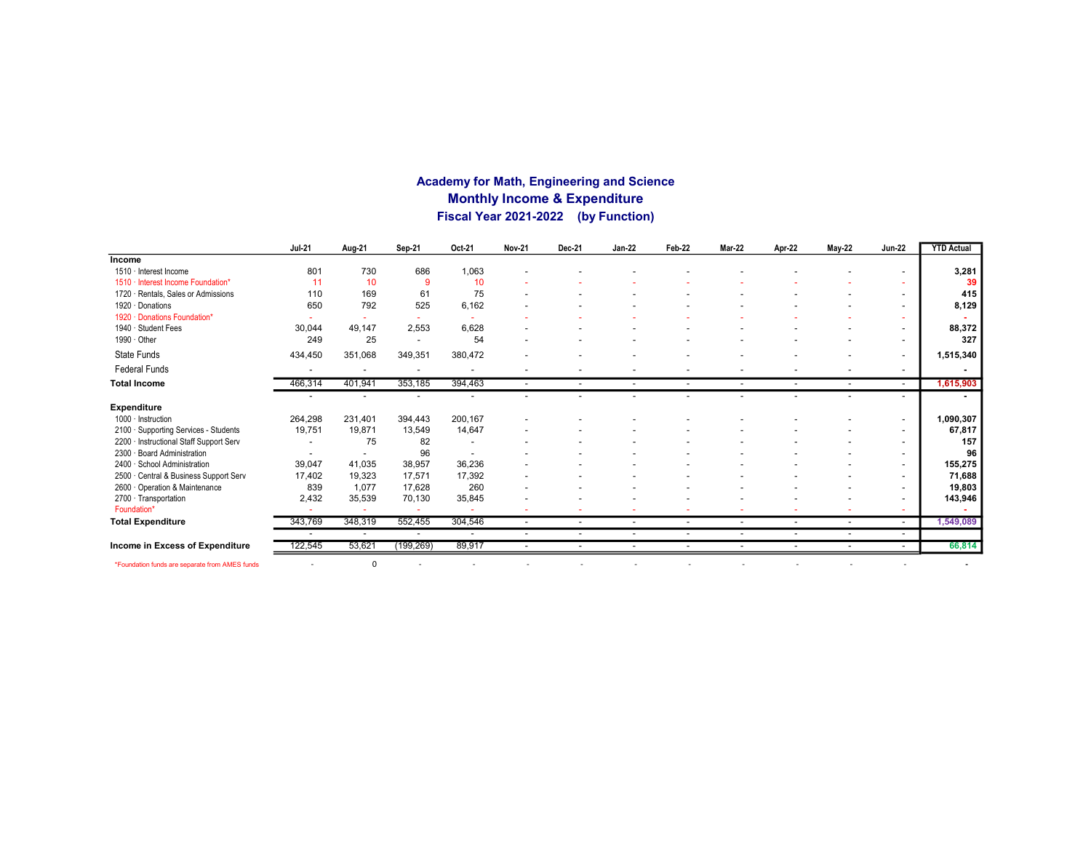### Academy for Math, Engineering and Science Monthly Income & Expenditure Fiscal Year 2021-2022 (by Function)

|                                                | <b>Jul-21</b>            | Aug-21                   | Sep-21                   | Oct-21                   | <b>Nov-21</b>            | Dec-21                   | <b>Jan-22</b>            | Feb-22                   | <b>Mar-22</b>            | Apr-22                   | <b>May-22</b>            | <b>Jun-22</b>            | <b>YTD Actual</b> |
|------------------------------------------------|--------------------------|--------------------------|--------------------------|--------------------------|--------------------------|--------------------------|--------------------------|--------------------------|--------------------------|--------------------------|--------------------------|--------------------------|-------------------|
| Income                                         |                          |                          |                          |                          |                          |                          |                          |                          |                          |                          |                          |                          |                   |
| 1510 · Interest Income                         | 801                      | 730                      | 686                      | 1,063                    |                          |                          |                          |                          |                          |                          |                          |                          | 3,281             |
| 1510 · Interest Income Foundation*             | 11                       | 10                       | 9                        | 10                       |                          |                          |                          |                          |                          |                          |                          |                          | 39                |
| 1720 · Rentals, Sales or Admissions            | 110                      | 169                      | 61                       | 75                       |                          |                          |                          |                          |                          |                          |                          |                          | 415               |
| 1920 · Donations                               | 650                      | 792                      | 525                      | 6,162                    |                          |                          |                          |                          |                          |                          |                          | -                        | 8,129             |
| 1920 · Donations Foundation*                   |                          |                          |                          |                          |                          |                          |                          |                          |                          |                          |                          | ٠                        |                   |
| 1940 · Student Fees                            | 30,044                   | 49,147                   | 2,553                    | 6,628                    |                          |                          |                          |                          |                          |                          |                          | $\overline{\phantom{a}}$ | 88,372            |
| 1990 · Other                                   | 249                      | 25                       | $\overline{\phantom{a}}$ | 54                       |                          |                          |                          |                          |                          |                          |                          | $\overline{a}$           | 327               |
| State Funds                                    | 434,450                  | 351,068                  | 349,351                  | 380,472                  |                          |                          |                          |                          |                          |                          |                          | $\overline{\phantom{a}}$ | 1,515,340         |
| <b>Federal Funds</b>                           |                          |                          | ٠                        |                          |                          |                          | ۰                        |                          |                          |                          |                          | $\overline{\phantom{a}}$ |                   |
| <b>Total Income</b>                            | 466,314                  | 401,941                  | 353,185                  | 394,463                  | $\blacksquare$           | $\overline{\phantom{a}}$ | $\overline{a}$           | $\overline{\phantom{a}}$ | $\sim$                   | $\overline{\phantom{a}}$ | $\overline{\phantom{a}}$ | $\overline{\phantom{a}}$ | 1,615,903         |
|                                                |                          |                          |                          |                          |                          |                          |                          |                          |                          |                          |                          | ۰                        |                   |
| <b>Expenditure</b>                             |                          |                          |                          |                          |                          |                          |                          |                          |                          |                          |                          |                          |                   |
| $1000 \cdot$ Instruction                       | 264,298                  | 231,401                  | 394,443                  | 200,167                  |                          |                          |                          |                          |                          |                          |                          | $\overline{\phantom{a}}$ | 1,090,307         |
| 2100 · Supporting Services - Students          | 19,751                   | 19.871                   | 13,549                   | 14,647                   |                          |                          |                          |                          |                          |                          |                          | $\overline{\phantom{a}}$ | 67,817            |
| 2200 · Instructional Staff Support Serv        |                          | 75                       | 82                       |                          |                          |                          |                          |                          |                          |                          |                          | $\overline{\phantom{a}}$ | 157               |
| 2300 · Board Administration                    | $\overline{\phantom{a}}$ | $\overline{\phantom{a}}$ | 96                       | $\overline{\phantom{a}}$ |                          |                          |                          |                          |                          |                          |                          | $\overline{\phantom{a}}$ | 96                |
| 2400 · School Administration                   | 39,047                   | 41,035                   | 38,957                   | 36,236                   |                          |                          |                          |                          |                          |                          |                          | $\overline{\phantom{a}}$ | 155,275           |
| 2500 · Central & Business Support Serv         | 17.402                   | 19,323                   | 17,571                   | 17,392                   |                          |                          |                          |                          |                          |                          |                          | $\overline{\phantom{a}}$ | 71,688            |
| 2600 Operation & Maintenance                   | 839                      | 1,077                    | 17,628                   | 260                      |                          |                          |                          |                          |                          |                          |                          |                          | 19,803            |
| 2700 · Transportation                          | 2,432                    | 35,539                   | 70,130                   | 35,845                   |                          |                          |                          |                          |                          |                          |                          | $\overline{\phantom{0}}$ | 143,946           |
| Foundation*                                    |                          |                          |                          |                          |                          |                          |                          |                          |                          |                          |                          |                          |                   |
| <b>Total Expenditure</b>                       | 343,769                  | 348,319                  | 552,455                  | 304,546                  | $\overline{\phantom{a}}$ | $\overline{\phantom{a}}$ | $\sim$                   | $\overline{\phantom{a}}$ | $\overline{\phantom{a}}$ | $\overline{\phantom{a}}$ | $\overline{\phantom{a}}$ | $\sim$                   | 1,549,089         |
|                                                |                          | $\overline{\phantom{a}}$ | $\overline{\phantom{a}}$ | $\overline{\phantom{a}}$ | $\overline{\phantom{a}}$ | $\overline{\phantom{a}}$ | $\overline{\phantom{a}}$ | $\overline{\phantom{a}}$ | $\overline{\phantom{a}}$ | $\overline{\phantom{a}}$ |                          | $\overline{\phantom{a}}$ |                   |
| Income in Excess of Expenditure                | 122,545                  | 53,621                   | (199, 269)               | 89,917                   | $\overline{\phantom{a}}$ | $\overline{\phantom{0}}$ |                          | $\overline{\phantom{a}}$ | $\overline{\phantom{a}}$ |                          |                          | $\sim$                   | 66,814            |
| *Foundation funds are separate from AMES funds |                          | $\Omega$                 |                          |                          |                          | $\overline{\phantom{0}}$ |                          |                          |                          |                          | $\overline{\phantom{a}}$ |                          |                   |